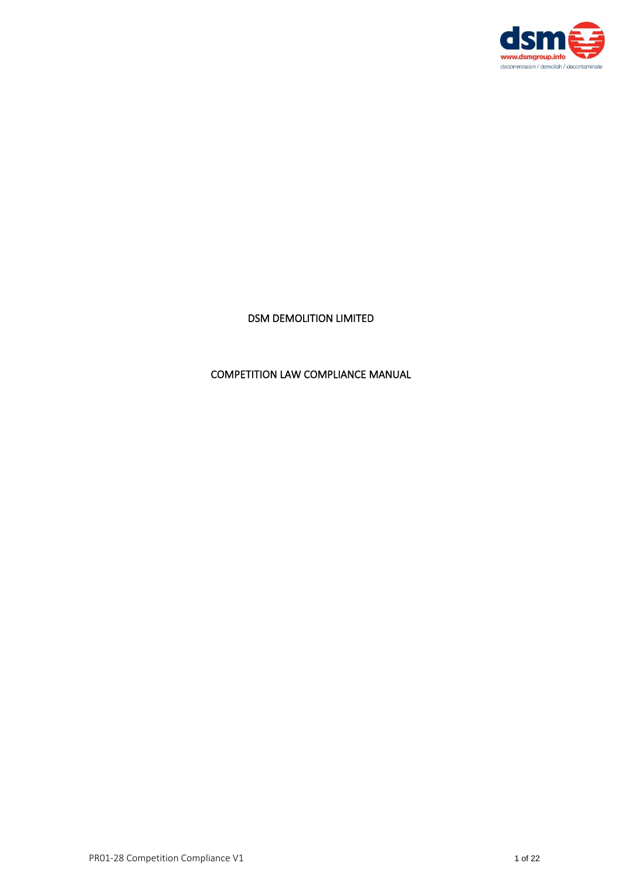

# DSM DEMOLITION LIMITED

# COMPETITION LAW COMPLIANCE MANUAL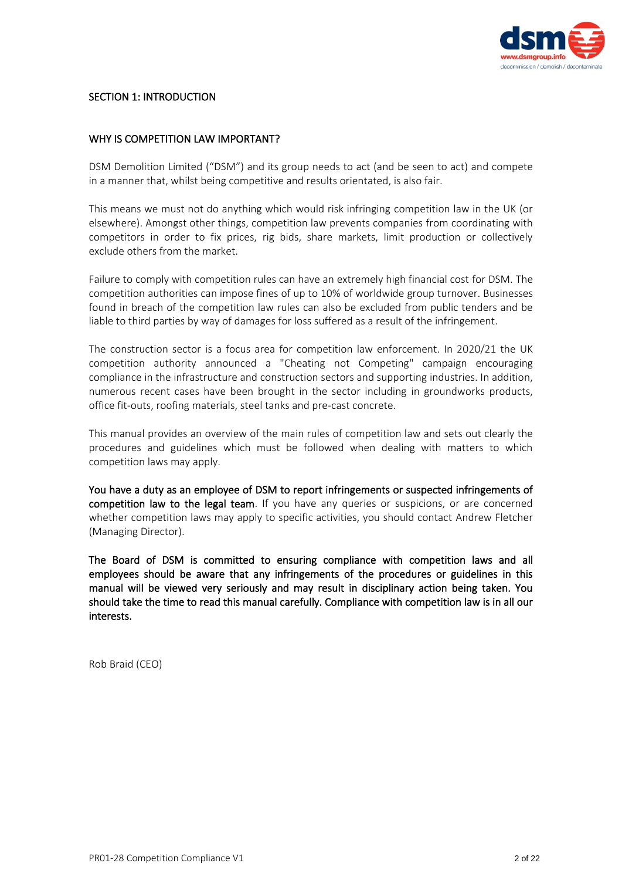

#### SECTION 1: INTRODUCTION

#### WHY IS COMPETITION LAW IMPORTANT?

DSM Demolition Limited ("DSM") and its group needs to act (and be seen to act) and compete in a manner that, whilst being competitive and results orientated, is also fair.

This means we must not do anything which would risk infringing competition law in the UK (or elsewhere). Amongst other things, competition law prevents companies from coordinating with competitors in order to fix prices, rig bids, share markets, limit production or collectively exclude others from the market.

Failure to comply with competition rules can have an extremely high financial cost for DSM. The competition authorities can impose fines of up to 10% of worldwide group turnover. Businesses found in breach of the competition law rules can also be excluded from public tenders and be liable to third parties by way of damages for loss suffered as a result of the infringement.

The construction sector is a focus area for competition law enforcement. In 2020/21 the UK competition authority announced a "Cheating not Competing" campaign encouraging compliance in the infrastructure and construction sectors and supporting industries. In addition, numerous recent cases have been brought in the sector including in groundworks products, office fit-outs, roofing materials, steel tanks and pre-cast concrete.

This manual provides an overview of the main rules of competition law and sets out clearly the procedures and guidelines which must be followed when dealing with matters to which competition laws may apply.

You have a duty as an employee of DSM to report infringements or suspected infringements of competition law to the legal team. If you have any queries or suspicions, or are concerned whether competition laws may apply to specific activities, you should contact Andrew Fletcher (Managing Director).

The Board of DSM is committed to ensuring compliance with competition laws and all employees should be aware that any infringements of the procedures or guidelines in this manual will be viewed very seriously and may result in disciplinary action being taken. You should take the time to read this manual carefully. Compliance with competition law is in all our interests.

Rob Braid (CEO)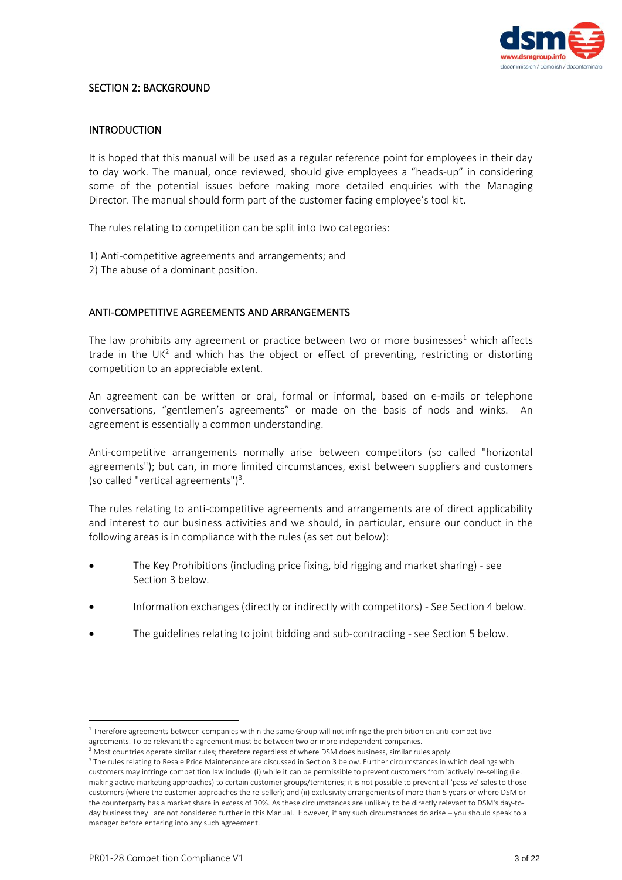

#### SECTION 2: BACKGROUND

### INTRODUCTION

It is hoped that this manual will be used as a regular reference point for employees in their day to day work. The manual, once reviewed, should give employees a "heads-up" in considering some of the potential issues before making more detailed enquiries with the Managing Director. The manual should form part of the customer facing employee's tool kit.

The rules relating to competition can be split into two categories:

- 1) Anti-competitive agreements and arrangements; and
- 2) The abuse of a dominant position.

# ANTI-COMPETITIVE AGREEMENTS AND ARRANGEMENTS

The law prohibits any agreement or practice between two or more businesses<sup>1</sup> which affects trade in the UK<sup>2</sup> and which has the object or effect of preventing, restricting or distorting competition to an appreciable extent.

An agreement can be written or oral, formal or informal, based on e-mails or telephone conversations, "gentlemen's agreements" or made on the basis of nods and winks. An agreement is essentially a common understanding.

Anti-competitive arrangements normally arise between competitors (so called "horizontal agreements"); but can, in more limited circumstances, exist between suppliers and customers (so called "vertical agreements")<sup>3</sup>.

The rules relating to anti-competitive agreements and arrangements are of direct applicability and interest to our business activities and we should, in particular, ensure our conduct in the following areas is in compliance with the rules (as set out below):

- The Key Prohibitions (including price fixing, bid rigging and market sharing) see Section 3 below.
- Information exchanges (directly or indirectly with competitors) See Section 4 below.
- The guidelines relating to joint bidding and sub-contracting see Section 5 below.

<sup>&</sup>lt;sup>1</sup> Therefore agreements between companies within the same Group will not infringe the prohibition on anti-competitive agreements. To be relevant the agreement must be between two or more independent companies.

 $<sup>2</sup>$  Most countries operate similar rules; therefore regardless of where DSM does business, similar rules apply.</sup>

<sup>&</sup>lt;sup>3</sup> The rules relating to Resale Price Maintenance are discussed in Section 3 below. Further circumstances in which dealings with customers may infringe competition law include: (i) while it can be permissible to prevent customers from 'actively' re-selling (i.e. making active marketing approaches) to certain customer groups/territories; it is not possible to prevent all 'passive' sales to those customers (where the customer approaches the re-seller); and (ii) exclusivity arrangements of more than 5 years or where DSM or the counterparty has a market share in excess of 30%. As these circumstances are unlikely to be directly relevant to DSM's day-today business they are not considered further in this Manual. However, if any such circumstances do arise – you should speak to a manager before entering into any such agreement.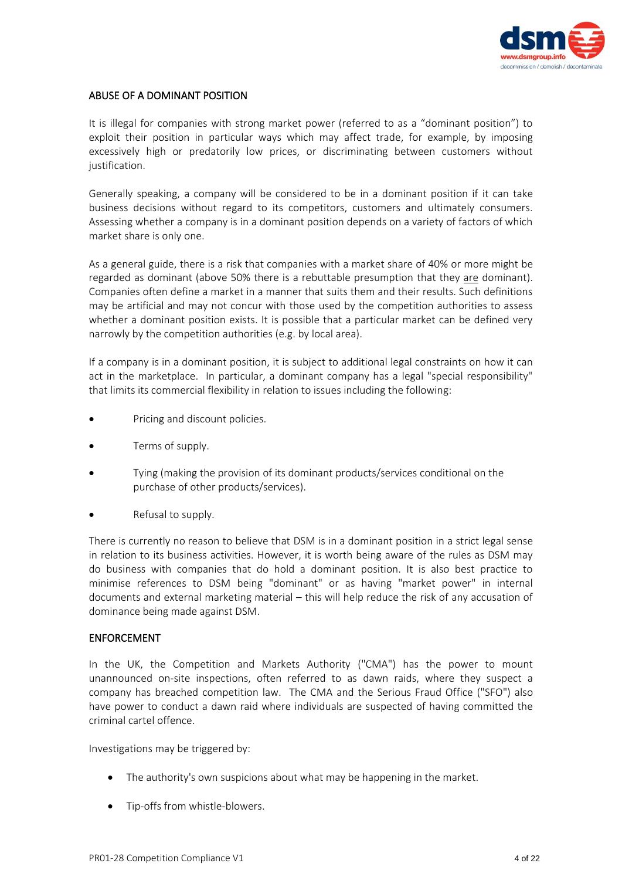

# ABUSE OF A DOMINANT POSITION

It is illegal for companies with strong market power (referred to as a "dominant position") to exploit their position in particular ways which may affect trade, for example, by imposing excessively high or predatorily low prices, or discriminating between customers without justification.

Generally speaking, a company will be considered to be in a dominant position if it can take business decisions without regard to its competitors, customers and ultimately consumers. Assessing whether a company is in a dominant position depends on a variety of factors of which market share is only one.

As a general guide, there is a risk that companies with a market share of 40% or more might be regarded as dominant (above 50% there is a rebuttable presumption that they are dominant). Companies often define a market in a manner that suits them and their results. Such definitions may be artificial and may not concur with those used by the competition authorities to assess whether a dominant position exists. It is possible that a particular market can be defined very narrowly by the competition authorities (e.g. by local area).

If a company is in a dominant position, it is subject to additional legal constraints on how it can act in the marketplace. In particular, a dominant company has a legal "special responsibility" that limits its commercial flexibility in relation to issues including the following:

- Pricing and discount policies.
- Terms of supply.
- Tying (making the provision of its dominant products/services conditional on the purchase of other products/services).
- Refusal to supply.

There is currently no reason to believe that DSM is in a dominant position in a strict legal sense in relation to its business activities. However, it is worth being aware of the rules as DSM may do business with companies that do hold a dominant position. It is also best practice to minimise references to DSM being "dominant" or as having "market power" in internal documents and external marketing material – this will help reduce the risk of any accusation of dominance being made against DSM.

#### ENFORCEMENT

In the UK, the Competition and Markets Authority ("CMA") has the power to mount unannounced on-site inspections, often referred to as dawn raids, where they suspect a company has breached competition law. The CMA and the Serious Fraud Office ("SFO") also have power to conduct a dawn raid where individuals are suspected of having committed the criminal cartel offence.

Investigations may be triggered by:

- The authority's own suspicions about what may be happening in the market.
- Tip-offs from whistle-blowers.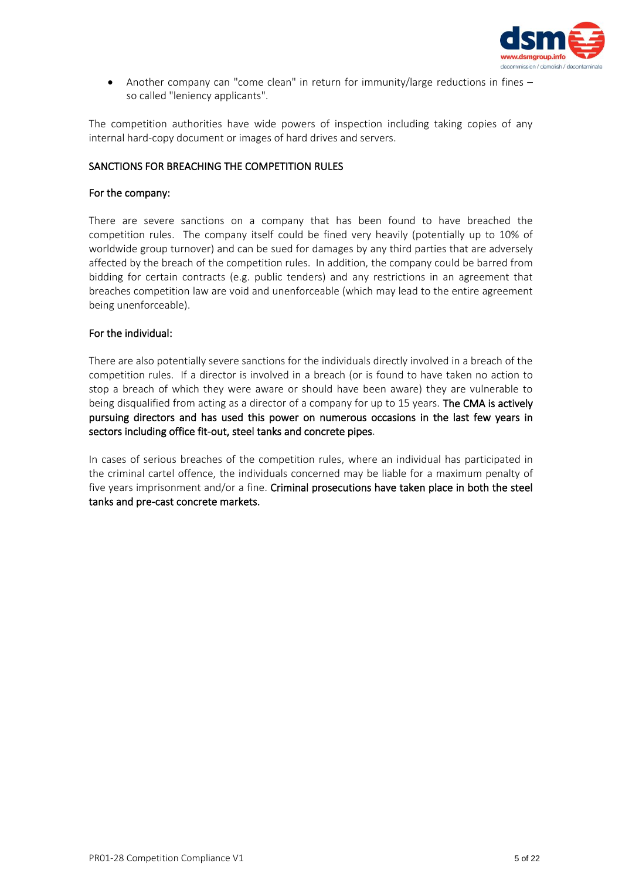

• Another company can "come clean" in return for immunity/large reductions in fines – so called "leniency applicants".

The competition authorities have wide powers of inspection including taking copies of any internal hard-copy document or images of hard drives and servers.

### SANCTIONS FOR BREACHING THE COMPETITION RULES

#### For the company:

There are severe sanctions on a company that has been found to have breached the competition rules. The company itself could be fined very heavily (potentially up to 10% of worldwide group turnover) and can be sued for damages by any third parties that are adversely affected by the breach of the competition rules. In addition, the company could be barred from bidding for certain contracts (e.g. public tenders) and any restrictions in an agreement that breaches competition law are void and unenforceable (which may lead to the entire agreement being unenforceable).

# For the individual:

There are also potentially severe sanctions for the individuals directly involved in a breach of the competition rules. If a director is involved in a breach (or is found to have taken no action to stop a breach of which they were aware or should have been aware) they are vulnerable to being disqualified from acting as a director of a company for up to 15 years. The CMA is actively pursuing directors and has used this power on numerous occasions in the last few years in sectors including office fit-out, steel tanks and concrete pipes.

In cases of serious breaches of the competition rules, where an individual has participated in the criminal cartel offence, the individuals concerned may be liable for a maximum penalty of five years imprisonment and/or a fine. Criminal prosecutions have taken place in both the steel tanks and pre-cast concrete markets.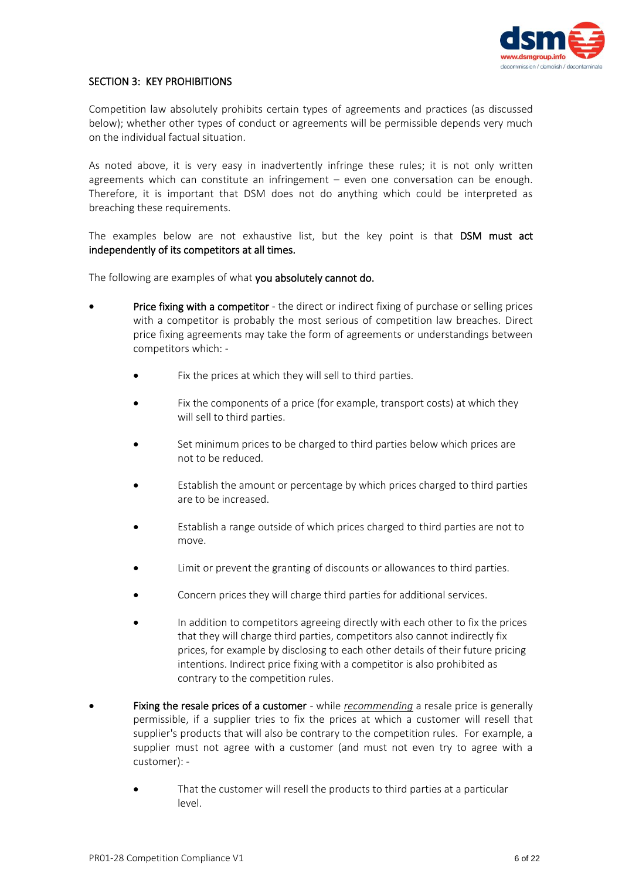

# SECTION 3: KEY PROHIBITIONS

Competition law absolutely prohibits certain types of agreements and practices (as discussed below); whether other types of conduct or agreements will be permissible depends very much on the individual factual situation.

As noted above, it is very easy in inadvertently infringe these rules; it is not only written agreements which can constitute an infringement – even one conversation can be enough. Therefore, it is important that DSM does not do anything which could be interpreted as breaching these requirements.

The examples below are not exhaustive list, but the key point is that DSM must act independently of its competitors at all times.

The following are examples of what you absolutely cannot do.

- **Price fixing with a competitor** the direct or indirect fixing of purchase or selling prices with a competitor is probably the most serious of competition law breaches. Direct price fixing agreements may take the form of agreements or understandings between competitors which: -
	- Fix the prices at which they will sell to third parties.
	- Fix the components of a price (for example, transport costs) at which they will sell to third parties.
	- Set minimum prices to be charged to third parties below which prices are not to be reduced.
	- Establish the amount or percentage by which prices charged to third parties are to be increased.
	- Establish a range outside of which prices charged to third parties are not to move.
	- Limit or prevent the granting of discounts or allowances to third parties.
	- Concern prices they will charge third parties for additional services.
	- In addition to competitors agreeing directly with each other to fix the prices that they will charge third parties, competitors also cannot indirectly fix prices, for example by disclosing to each other details of their future pricing intentions. Indirect price fixing with a competitor is also prohibited as contrary to the competition rules.
- Fixing the resale prices of a customer while *recommending* a resale price is generally permissible, if a supplier tries to fix the prices at which a customer will resell that supplier's products that will also be contrary to the competition rules. For example, a supplier must not agree with a customer (and must not even try to agree with a customer): -
	- That the customer will resell the products to third parties at a particular level.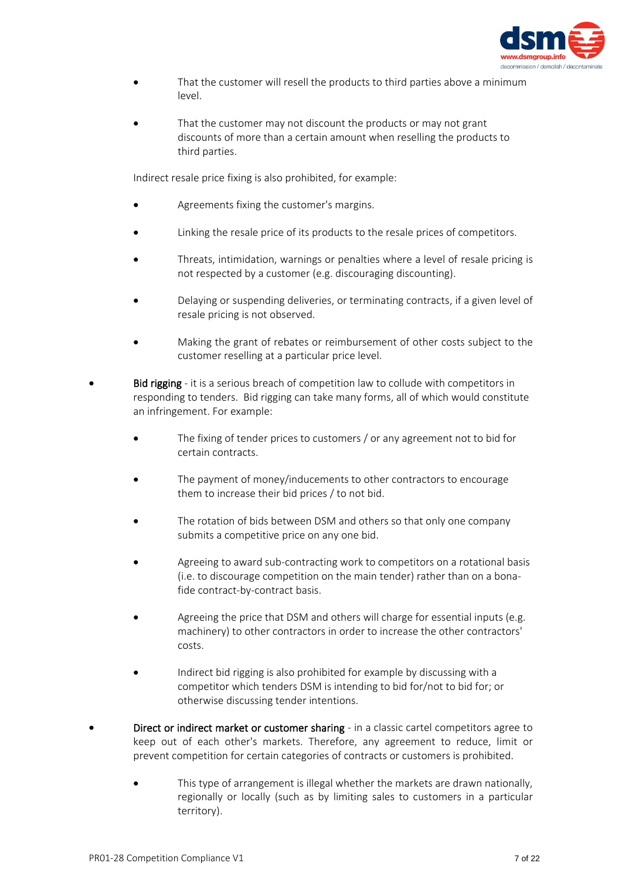

- That the customer will resell the products to third parties above a minimum level.
- That the customer may not discount the products or may not grant discounts of more than a certain amount when reselling the products to third parties.

Indirect resale price fixing is also prohibited, for example:

- Agreements fixing the customer's margins.
- Linking the resale price of its products to the resale prices of competitors.
- Threats, intimidation, warnings or penalties where a level of resale pricing is not respected by a customer (e.g. discouraging discounting).
- Delaying or suspending deliveries, or terminating contracts, if a given level of resale pricing is not observed.
- Making the grant of rebates or reimbursement of other costs subject to the customer reselling at a particular price level.
- **Bid rigging** it is a serious breach of competition law to collude with competitors in responding to tenders. Bid rigging can take many forms, all of which would constitute an infringement. For example:
	- The fixing of tender prices to customers / or any agreement not to bid for certain contracts.
	- The payment of money/inducements to other contractors to encourage them to increase their bid prices / to not bid.
	- The rotation of bids between DSM and others so that only one company submits a competitive price on any one bid.
	- Agreeing to award sub-contracting work to competitors on a rotational basis (i.e. to discourage competition on the main tender) rather than on a bonafide contract-by-contract basis.
	- Agreeing the price that DSM and others will charge for essential inputs (e.g. machinery) to other contractors in order to increase the other contractors' costs.
	- Indirect bid rigging is also prohibited for example by discussing with a competitor which tenders DSM is intending to bid for/not to bid for; or otherwise discussing tender intentions.
- Direct or indirect market or customer sharing in a classic cartel competitors agree to keep out of each other's markets. Therefore, any agreement to reduce, limit or prevent competition for certain categories of contracts or customers is prohibited.
	- This type of arrangement is illegal whether the markets are drawn nationally, regionally or locally (such as by limiting sales to customers in a particular territory).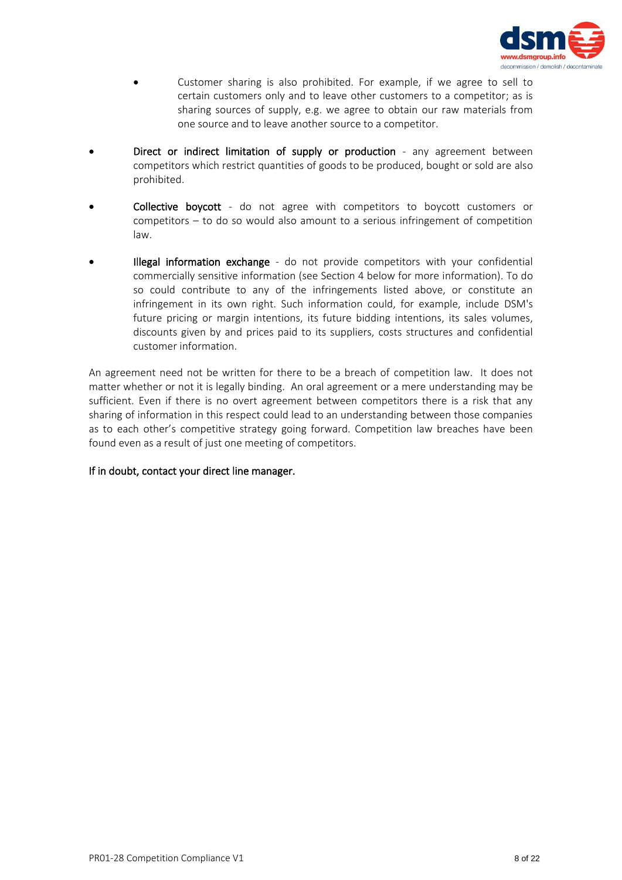

- Customer sharing is also prohibited. For example, if we agree to sell to certain customers only and to leave other customers to a competitor; as is sharing sources of supply, e.g. we agree to obtain our raw materials from one source and to leave another source to a competitor.
- Direct or indirect limitation of supply or production any agreement between competitors which restrict quantities of goods to be produced, bought or sold are also prohibited.
- Collective boycott do not agree with competitors to boycott customers or competitors – to do so would also amount to a serious infringement of competition law.
- Illegal information exchange do not provide competitors with your confidential commercially sensitive information (see Section 4 below for more information). To do so could contribute to any of the infringements listed above, or constitute an infringement in its own right. Such information could, for example, include DSM's future pricing or margin intentions, its future bidding intentions, its sales volumes, discounts given by and prices paid to its suppliers, costs structures and confidential customer information.

An agreement need not be written for there to be a breach of competition law. It does not matter whether or not it is legally binding. An oral agreement or a mere understanding may be sufficient. Even if there is no overt agreement between competitors there is a risk that any sharing of information in this respect could lead to an understanding between those companies as to each other's competitive strategy going forward. Competition law breaches have been found even as a result of just one meeting of competitors.

#### If in doubt, contact your direct line manager.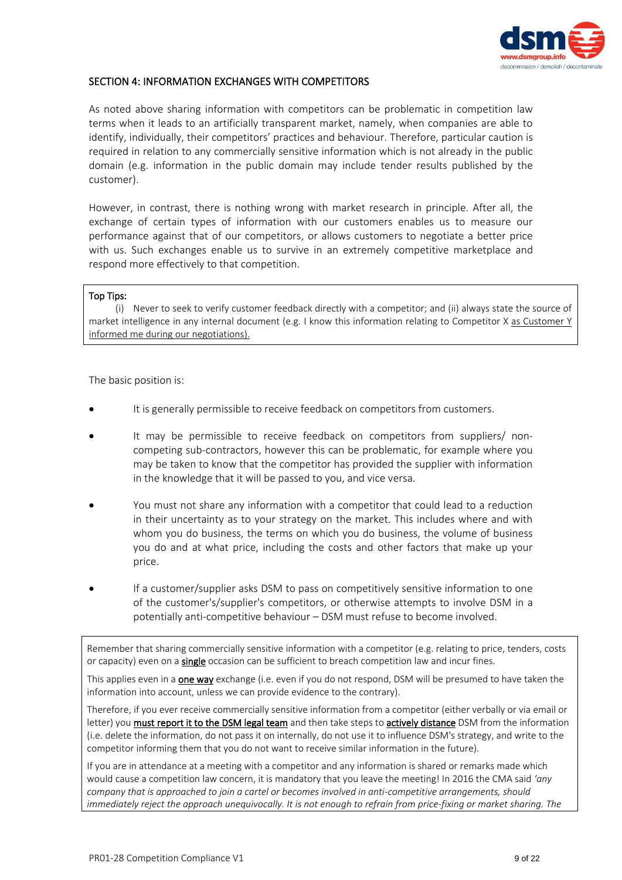

### SECTION 4: INFORMATION EXCHANGES WITH COMPETITORS

As noted above sharing information with competitors can be problematic in competition law terms when it leads to an artificially transparent market, namely, when companies are able to identify, individually, their competitors' practices and behaviour. Therefore, particular caution is required in relation to any commercially sensitive information which is not already in the public domain (e.g. information in the public domain may include tender results published by the customer).

However, in contrast, there is nothing wrong with market research in principle. After all, the exchange of certain types of information with our customers enables us to measure our performance against that of our competitors, or allows customers to negotiate a better price with us. Such exchanges enable us to survive in an extremely competitive marketplace and respond more effectively to that competition.

#### Top Tips:

(i) Never to seek to verify customer feedback directly with a competitor; and (ii) always state the source of market intelligence in any internal document (e.g. I know this information relating to Competitor X as Customer Y informed me during our negotiations).

The basic position is:

- It is generally permissible to receive feedback on competitors from customers.
- It may be permissible to receive feedback on competitors from suppliers/ noncompeting sub-contractors, however this can be problematic, for example where you may be taken to know that the competitor has provided the supplier with information in the knowledge that it will be passed to you, and vice versa.
- You must not share any information with a competitor that could lead to a reduction in their uncertainty as to your strategy on the market. This includes where and with whom you do business, the terms on which you do business, the volume of business you do and at what price, including the costs and other factors that make up your price.
- If a customer/supplier asks DSM to pass on competitively sensitive information to one of the customer's/supplier's competitors, or otherwise attempts to involve DSM in a potentially anti-competitive behaviour – DSM must refuse to become involved.

Remember that sharing commercially sensitive information with a competitor (e.g. relating to price, tenders, costs or capacity) even on a single occasion can be sufficient to breach competition law and incur fines.

This applies even in a one way exchange (i.e. even if you do not respond, DSM will be presumed to have taken the information into account, unless we can provide evidence to the contrary).

Therefore, if you ever receive commercially sensitive information from a competitor (either verbally or via email or letter) you must report it to the DSM legal team and then take steps to actively distance DSM from the information (i.e. delete the information, do not pass it on internally, do not use it to influence DSM's strategy, and write to the competitor informing them that you do not want to receive similar information in the future).

If you are in attendance at a meeting with a competitor and any information is shared or remarks made which would cause a competition law concern, it is mandatory that you leave the meeting! In 2016 the CMA said *'any company that is approached to join a cartel or becomes involved in anti-competitive arrangements, should immediately reject the approach unequivocally. It is not enough to refrain from price-fixing or market sharing. The*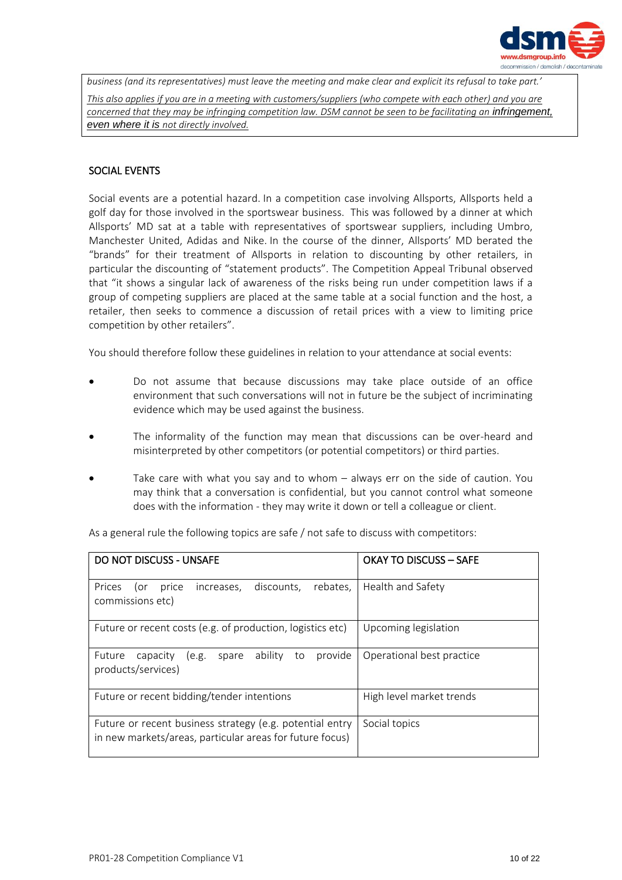

*business (and its representatives) must leave the meeting and make clear and explicit its refusal to take part.' This also applies if you are in a meeting with customers/suppliers (who compete with each other) and you are concerned that they may be infringing competition law. DSM cannot be seen to be facilitating an infringement, even where it is not directly involved.*

# SOCIAL EVENTS

Social events are a potential hazard. In a competition case involving Allsports, Allsports held a golf day for those involved in the sportswear business. This was followed by a dinner at which Allsports' MD sat at a table with representatives of sportswear suppliers, including Umbro, Manchester United, Adidas and Nike. In the course of the dinner, Allsports' MD berated the "brands" for their treatment of Allsports in relation to discounting by other retailers, in particular the discounting of "statement products". The Competition Appeal Tribunal observed that "it shows a singular lack of awareness of the risks being run under competition laws if a group of competing suppliers are placed at the same table at a social function and the host, a retailer, then seeks to commence a discussion of retail prices with a view to limiting price competition by other retailers".

You should therefore follow these guidelines in relation to your attendance at social events:

- Do not assume that because discussions may take place outside of an office environment that such conversations will not in future be the subject of incriminating evidence which may be used against the business.
- The informality of the function may mean that discussions can be over-heard and misinterpreted by other competitors (or potential competitors) or third parties.
- Take care with what you say and to whom  $-$  always err on the side of caution. You may think that a conversation is confidential, but you cannot control what someone does with the information - they may write it down or tell a colleague or client.

As a general rule the following topics are safe / not safe to discuss with competitors:

| <b>DO NOT DISCUSS - UNSAFE</b>                                                                                       | OKAY TO DISCUSS - SAFE    |  |
|----------------------------------------------------------------------------------------------------------------------|---------------------------|--|
| Prices<br>discounts,<br>rebates,<br>increases,<br>price<br>(or<br>commissions etc)                                   | Health and Safety         |  |
| Future or recent costs (e.g. of production, logistics etc)                                                           | Upcoming legislation      |  |
| ability to<br>provide<br>Future<br>capacity<br>(e.g.<br>spare<br>products/services)                                  | Operational best practice |  |
| Future or recent bidding/tender intentions                                                                           | High level market trends  |  |
| Future or recent business strategy (e.g. potential entry<br>in new markets/areas, particular areas for future focus) | Social topics             |  |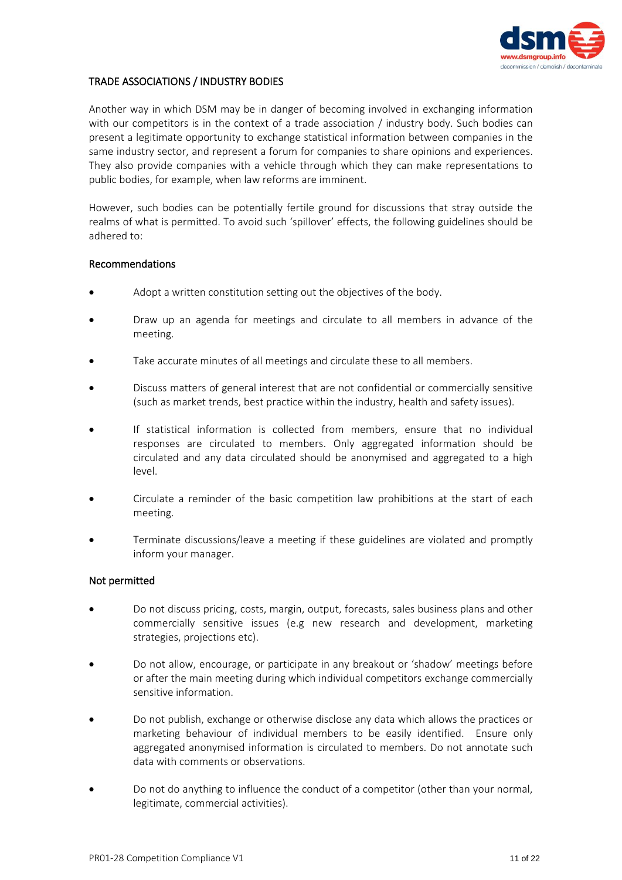

# TRADE ASSOCIATIONS / INDUSTRY BODIES

Another way in which DSM may be in danger of becoming involved in exchanging information with our competitors is in the context of a trade association / industry body. Such bodies can present a legitimate opportunity to exchange statistical information between companies in the same industry sector, and represent a forum for companies to share opinions and experiences. They also provide companies with a vehicle through which they can make representations to public bodies, for example, when law reforms are imminent.

However, such bodies can be potentially fertile ground for discussions that stray outside the realms of what is permitted. To avoid such 'spillover' effects, the following guidelines should be adhered to:

#### Recommendations

- Adopt a written constitution setting out the objectives of the body.
- Draw up an agenda for meetings and circulate to all members in advance of the meeting.
- Take accurate minutes of all meetings and circulate these to all members.
- Discuss matters of general interest that are not confidential or commercially sensitive (such as market trends, best practice within the industry, health and safety issues).
- If statistical information is collected from members, ensure that no individual responses are circulated to members. Only aggregated information should be circulated and any data circulated should be anonymised and aggregated to a high level.
- Circulate a reminder of the basic competition law prohibitions at the start of each meeting.
- Terminate discussions/leave a meeting if these guidelines are violated and promptly inform your manager.

#### Not permitted

- Do not discuss pricing, costs, margin, output, forecasts, sales business plans and other commercially sensitive issues (e.g new research and development, marketing strategies, projections etc).
- Do not allow, encourage, or participate in any breakout or 'shadow' meetings before or after the main meeting during which individual competitors exchange commercially sensitive information.
- Do not publish, exchange or otherwise disclose any data which allows the practices or marketing behaviour of individual members to be easily identified. Ensure only aggregated anonymised information is circulated to members. Do not annotate such data with comments or observations.
- Do not do anything to influence the conduct of a competitor (other than your normal, legitimate, commercial activities).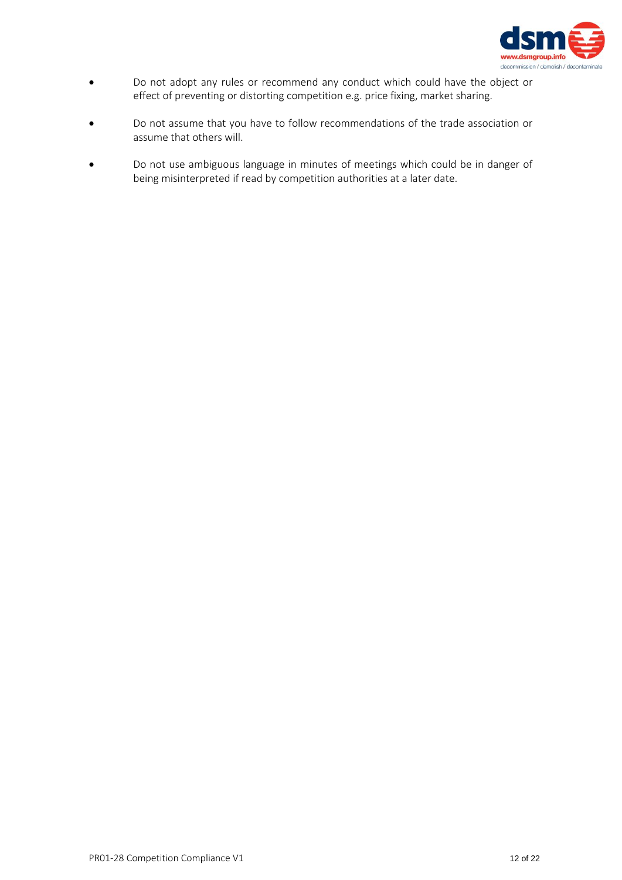

- Do not adopt any rules or recommend any conduct which could have the object or effect of preventing or distorting competition e.g. price fixing, market sharing.
- Do not assume that you have to follow recommendations of the trade association or assume that others will.
- Do not use ambiguous language in minutes of meetings which could be in danger of being misinterpreted if read by competition authorities at a later date.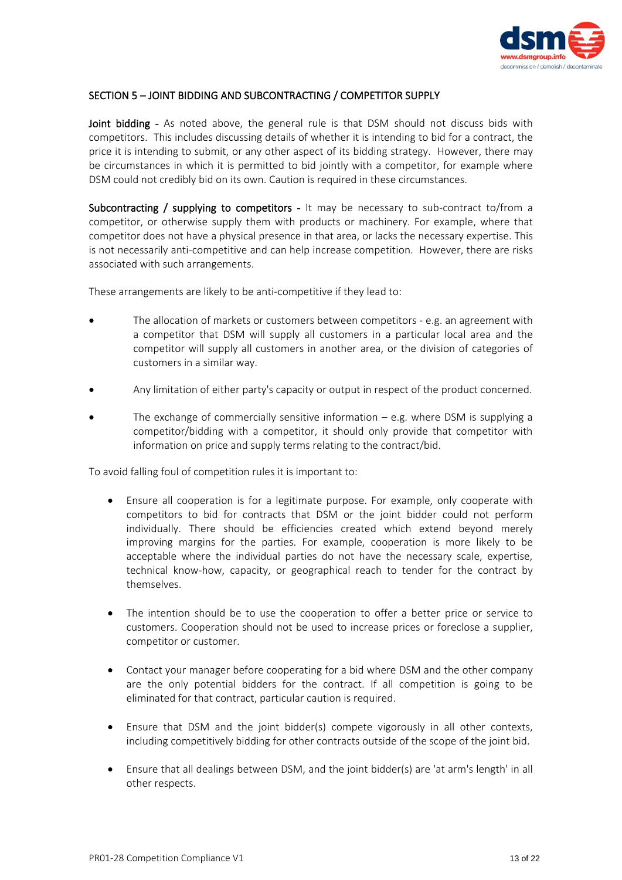

### SECTION 5 – JOINT BIDDING AND SUBCONTRACTING / COMPETITOR SUPPLY

Joint bidding - As noted above, the general rule is that DSM should not discuss bids with competitors. This includes discussing details of whether it is intending to bid for a contract, the price it is intending to submit, or any other aspect of its bidding strategy. However, there may be circumstances in which it is permitted to bid jointly with a competitor, for example where DSM could not credibly bid on its own. Caution is required in these circumstances.

Subcontracting / supplying to competitors - It may be necessary to sub-contract to/from a competitor, or otherwise supply them with products or machinery. For example, where that competitor does not have a physical presence in that area, or lacks the necessary expertise. This is not necessarily anti-competitive and can help increase competition. However, there are risks associated with such arrangements.

These arrangements are likely to be anti-competitive if they lead to:

- The allocation of markets or customers between competitors e.g. an agreement with a competitor that DSM will supply all customers in a particular local area and the competitor will supply all customers in another area, or the division of categories of customers in a similar way.
- Any limitation of either party's capacity or output in respect of the product concerned.
- The exchange of commercially sensitive information  $-$  e.g. where DSM is supplying a competitor/bidding with a competitor, it should only provide that competitor with information on price and supply terms relating to the contract/bid.

To avoid falling foul of competition rules it is important to:

- Ensure all cooperation is for a legitimate purpose. For example, only cooperate with competitors to bid for contracts that DSM or the joint bidder could not perform individually. There should be efficiencies created which extend beyond merely improving margins for the parties. For example, cooperation is more likely to be acceptable where the individual parties do not have the necessary scale, expertise, technical know-how, capacity, or geographical reach to tender for the contract by themselves.
- The intention should be to use the cooperation to offer a better price or service to customers. Cooperation should not be used to increase prices or foreclose a supplier, competitor or customer.
- Contact your manager before cooperating for a bid where DSM and the other company are the only potential bidders for the contract. If all competition is going to be eliminated for that contract, particular caution is required.
- Ensure that DSM and the joint bidder(s) compete vigorously in all other contexts, including competitively bidding for other contracts outside of the scope of the joint bid.
- Ensure that all dealings between DSM, and the joint bidder(s) are 'at arm's length' in all other respects.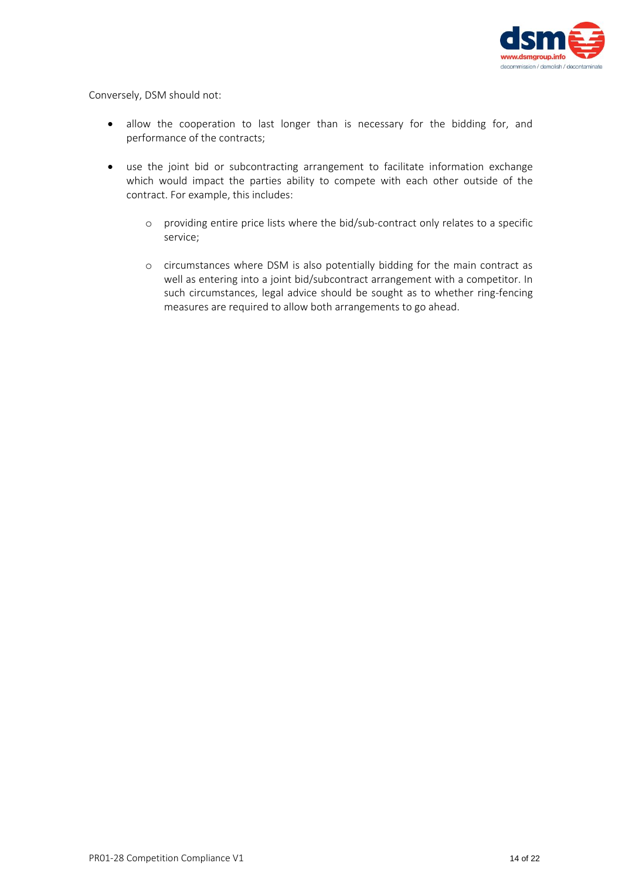

Conversely, DSM should not:

- allow the cooperation to last longer than is necessary for the bidding for, and performance of the contracts;
- use the joint bid or subcontracting arrangement to facilitate information exchange which would impact the parties ability to compete with each other outside of the contract. For example, this includes:
	- o providing entire price lists where the bid/sub-contract only relates to a specific service;
	- o circumstances where DSM is also potentially bidding for the main contract as well as entering into a joint bid/subcontract arrangement with a competitor. In such circumstances, legal advice should be sought as to whether ring-fencing measures are required to allow both arrangements to go ahead.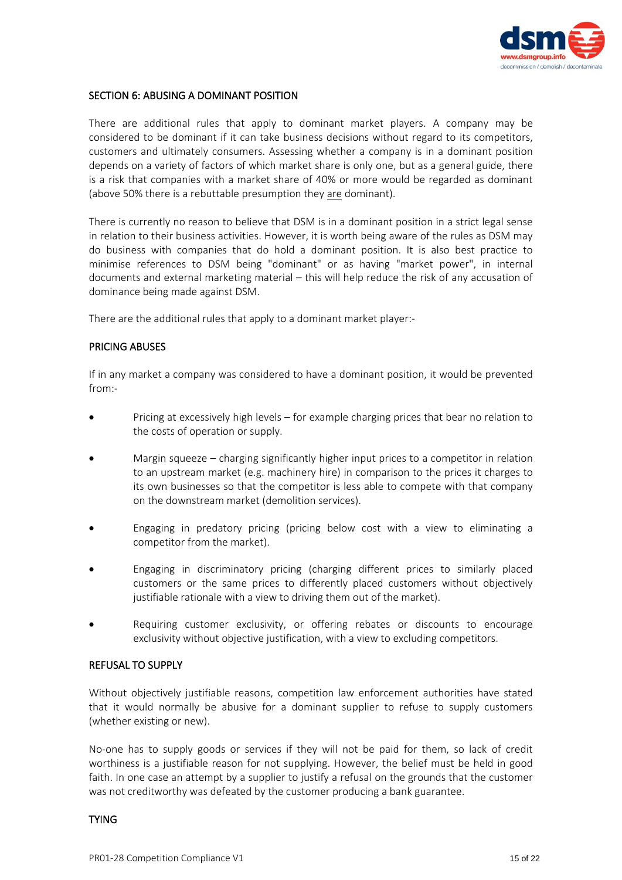

#### SECTION 6: ABUSING A DOMINANT POSITION

There are additional rules that apply to dominant market players. A company may be considered to be dominant if it can take business decisions without regard to its competitors, customers and ultimately consumers. Assessing whether a company is in a dominant position depends on a variety of factors of which market share is only one, but as a general guide, there is a risk that companies with a market share of 40% or more would be regarded as dominant (above 50% there is a rebuttable presumption they are dominant).

There is currently no reason to believe that DSM is in a dominant position in a strict legal sense in relation to their business activities. However, it is worth being aware of the rules as DSM may do business with companies that do hold a dominant position. It is also best practice to minimise references to DSM being "dominant" or as having "market power", in internal documents and external marketing material – this will help reduce the risk of any accusation of dominance being made against DSM.

There are the additional rules that apply to a dominant market player:-

# PRICING ABUSES

If in any market a company was considered to have a dominant position, it would be prevented from:-

- Pricing at excessively high levels for example charging prices that bear no relation to the costs of operation or supply.
- Margin squeeze charging significantly higher input prices to a competitor in relation to an upstream market (e.g. machinery hire) in comparison to the prices it charges to its own businesses so that the competitor is less able to compete with that company on the downstream market (demolition services).
- Engaging in predatory pricing (pricing below cost with a view to eliminating a competitor from the market).
- Engaging in discriminatory pricing (charging different prices to similarly placed customers or the same prices to differently placed customers without objectively justifiable rationale with a view to driving them out of the market).
- Requiring customer exclusivity, or offering rebates or discounts to encourage exclusivity without objective justification, with a view to excluding competitors.

#### REFUSAL TO SUPPLY

Without objectively justifiable reasons, competition law enforcement authorities have stated that it would normally be abusive for a dominant supplier to refuse to supply customers (whether existing or new).

No-one has to supply goods or services if they will not be paid for them, so lack of credit worthiness is a justifiable reason for not supplying. However, the belief must be held in good faith. In one case an attempt by a supplier to justify a refusal on the grounds that the customer was not creditworthy was defeated by the customer producing a bank guarantee.

#### TYING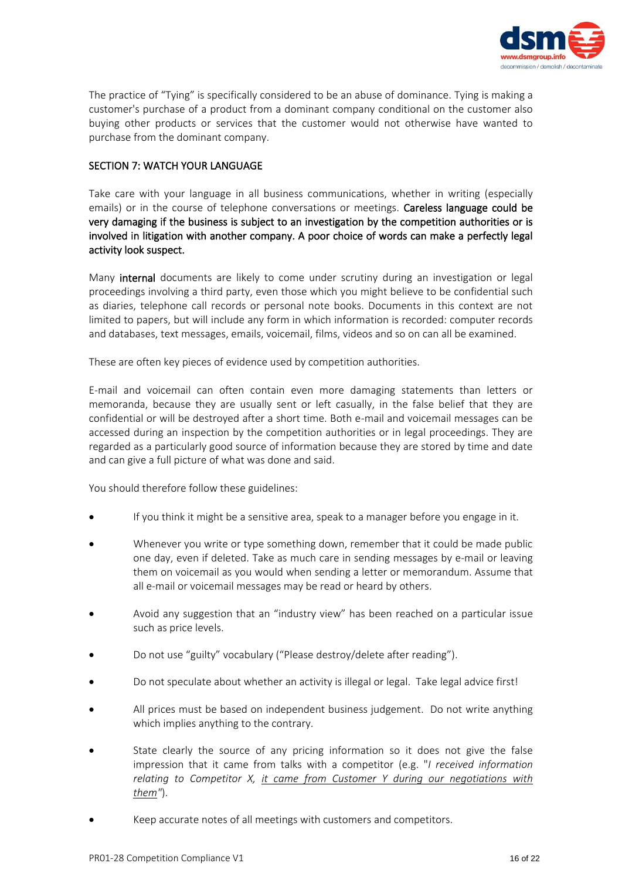

The practice of "Tying" is specifically considered to be an abuse of dominance. Tying is making a customer's purchase of a product from a dominant company conditional on the customer also buying other products or services that the customer would not otherwise have wanted to purchase from the dominant company.

# SECTION 7: WATCH YOUR LANGUAGE

Take care with your language in all business communications, whether in writing (especially emails) or in the course of telephone conversations or meetings. **Careless language could be** very damaging if the business is subject to an investigation by the competition authorities or is involved in litigation with another company. A poor choice of words can make a perfectly legal activity look suspect.

Many internal documents are likely to come under scrutiny during an investigation or legal proceedings involving a third party, even those which you might believe to be confidential such as diaries, telephone call records or personal note books. Documents in this context are not limited to papers, but will include any form in which information is recorded: computer records and databases, text messages, emails, voicemail, films, videos and so on can all be examined.

These are often key pieces of evidence used by competition authorities.

E-mail and voicemail can often contain even more damaging statements than letters or memoranda, because they are usually sent or left casually, in the false belief that they are confidential or will be destroyed after a short time. Both e-mail and voicemail messages can be accessed during an inspection by the competition authorities or in legal proceedings. They are regarded as a particularly good source of information because they are stored by time and date and can give a full picture of what was done and said.

You should therefore follow these guidelines:

- If you think it might be a sensitive area, speak to a manager before you engage in it.
- Whenever you write or type something down, remember that it could be made public one day, even if deleted. Take as much care in sending messages by e-mail or leaving them on voicemail as you would when sending a letter or memorandum. Assume that all e-mail or voicemail messages may be read or heard by others.
- Avoid any suggestion that an "industry view" has been reached on a particular issue such as price levels.
- Do not use "guilty" vocabulary ("Please destroy/delete after reading").
- Do not speculate about whether an activity is illegal or legal. Take legal advice first!
- All prices must be based on independent business judgement. Do not write anything which implies anything to the contrary.
- State clearly the source of any pricing information so it does not give the false impression that it came from talks with a competitor (e.g. "*I received information relating to Competitor X, it came from Customer Y during our negotiations with them"*).
- Keep accurate notes of all meetings with customers and competitors.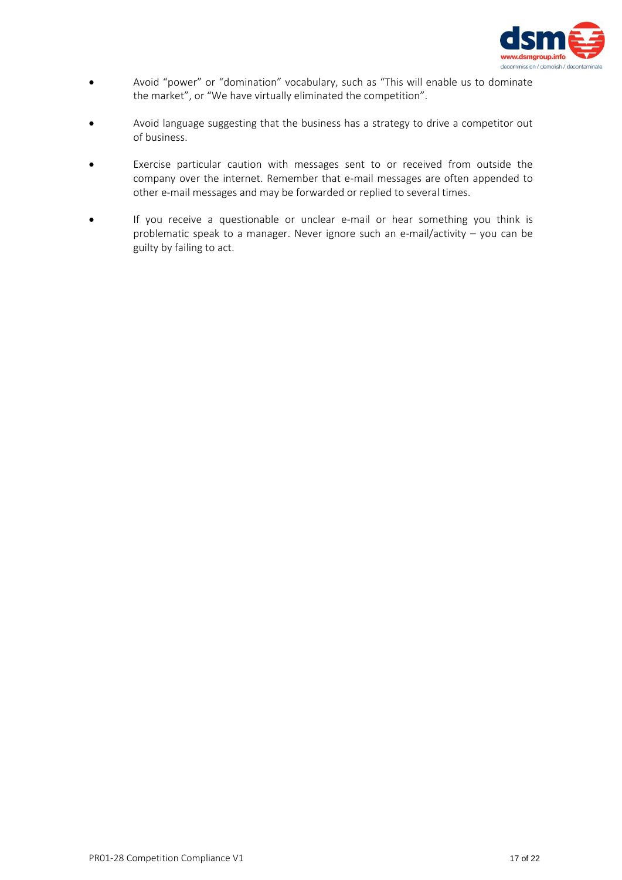

- Avoid "power" or "domination" vocabulary, such as "This will enable us to dominate the market", or "We have virtually eliminated the competition".
- Avoid language suggesting that the business has a strategy to drive a competitor out of business.
- Exercise particular caution with messages sent to or received from outside the company over the internet. Remember that e-mail messages are often appended to other e-mail messages and may be forwarded or replied to several times.
- If you receive a questionable or unclear e-mail or hear something you think is problematic speak to a manager. Never ignore such an e-mail/activity – you can be guilty by failing to act.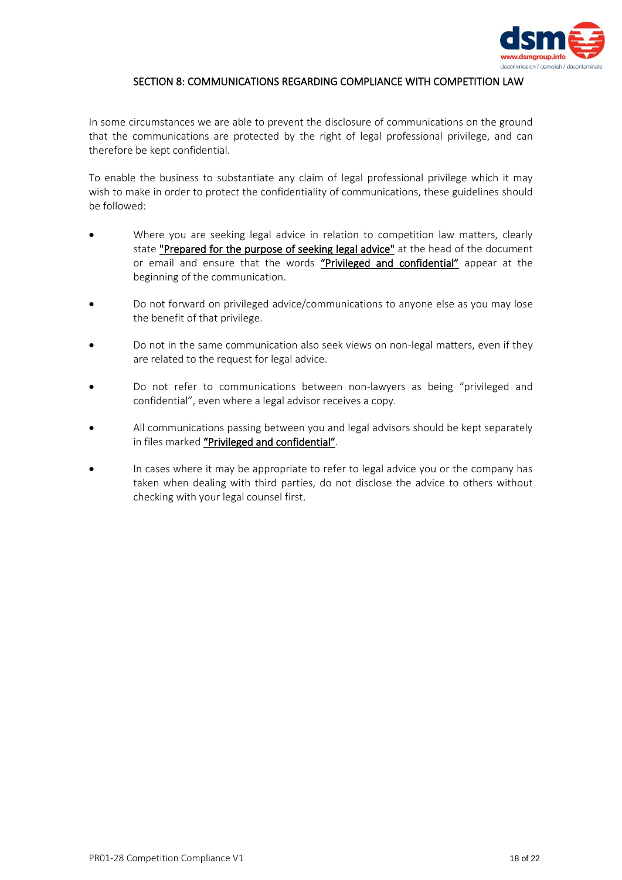

# SECTION 8: COMMUNICATIONS REGARDING COMPLIANCE WITH COMPETITION LAW

In some circumstances we are able to prevent the disclosure of communications on the ground that the communications are protected by the right of legal professional privilege, and can therefore be kept confidential.

To enable the business to substantiate any claim of legal professional privilege which it may wish to make in order to protect the confidentiality of communications, these guidelines should be followed:

- Where you are seeking legal advice in relation to competition law matters, clearly state "Prepared for the purpose of seeking legal advice" at the head of the document or email and ensure that the words "Privileged and confidential" appear at the beginning of the communication.
- Do not forward on privileged advice/communications to anyone else as you may lose the benefit of that privilege.
- Do not in the same communication also seek views on non-legal matters, even if they are related to the request for legal advice.
- Do not refer to communications between non-lawyers as being "privileged and confidential", even where a legal advisor receives a copy.
- All communications passing between you and legal advisors should be kept separately in files marked "Privileged and confidential".
- In cases where it may be appropriate to refer to legal advice you or the company has taken when dealing with third parties, do not disclose the advice to others without checking with your legal counsel first.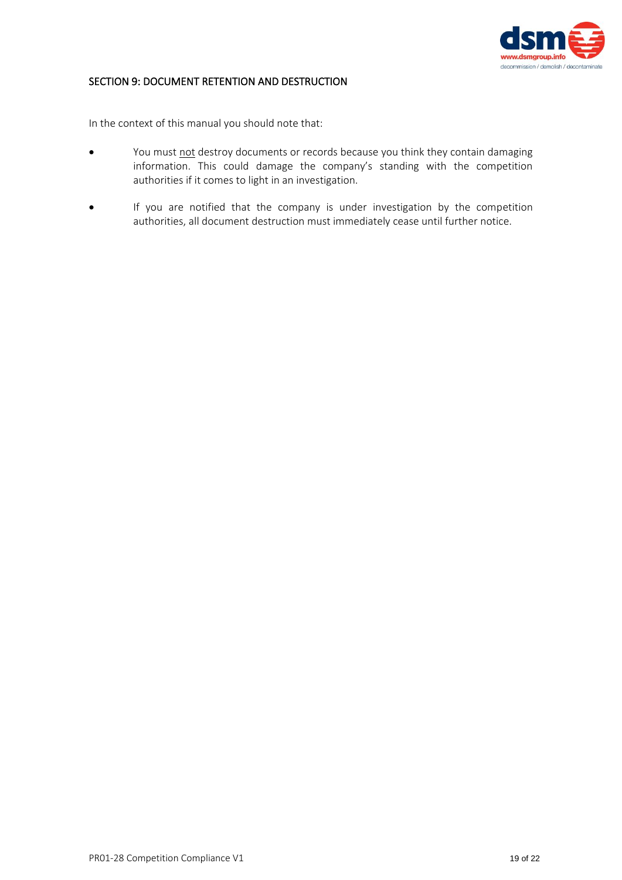

# SECTION 9: DOCUMENT RETENTION AND DESTRUCTION

In the context of this manual you should note that:

- You must not destroy documents or records because you think they contain damaging information. This could damage the company's standing with the competition authorities if it comes to light in an investigation.
- If you are notified that the company is under investigation by the competition authorities, all document destruction must immediately cease until further notice.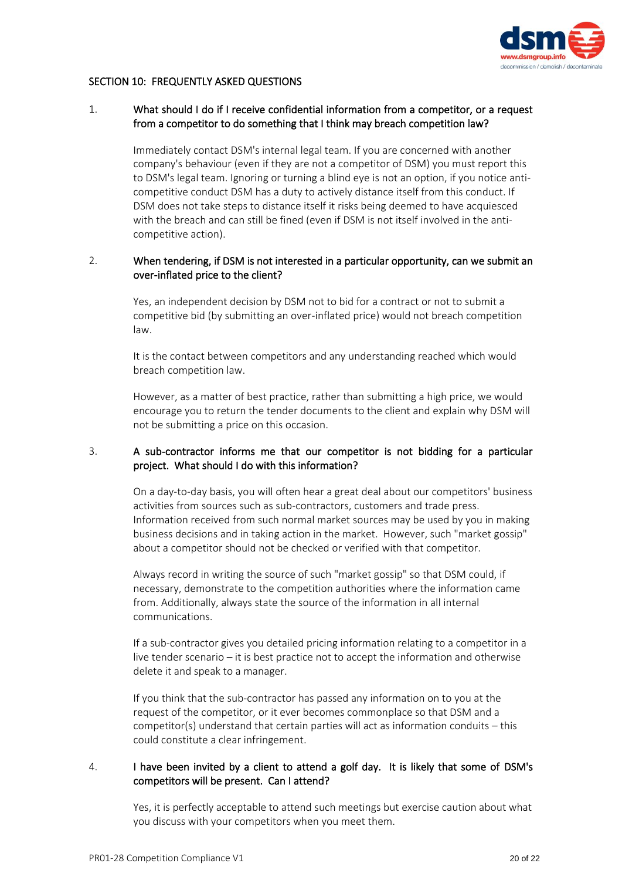

### SECTION 10: FREQUENTLY ASKED QUESTIONS

### 1. What should I do if I receive confidential information from a competitor, or a request from a competitor to do something that I think may breach competition law?

Immediately contact DSM's internal legal team. If you are concerned with another company's behaviour (even if they are not a competitor of DSM) you must report this to DSM's legal team. Ignoring or turning a blind eye is not an option, if you notice anticompetitive conduct DSM has a duty to actively distance itself from this conduct. If DSM does not take steps to distance itself it risks being deemed to have acquiesced with the breach and can still be fined (even if DSM is not itself involved in the anticompetitive action).

# 2. When tendering, if DSM is not interested in a particular opportunity, can we submit an over-inflated price to the client?

Yes, an independent decision by DSM not to bid for a contract or not to submit a competitive bid (by submitting an over-inflated price) would not breach competition law.

It is the contact between competitors and any understanding reached which would breach competition law.

However, as a matter of best practice, rather than submitting a high price, we would encourage you to return the tender documents to the client and explain why DSM will not be submitting a price on this occasion.

# 3. A sub-contractor informs me that our competitor is not bidding for a particular project. What should I do with this information?

On a day-to-day basis, you will often hear a great deal about our competitors' business activities from sources such as sub-contractors, customers and trade press. Information received from such normal market sources may be used by you in making business decisions and in taking action in the market. However, such "market gossip" about a competitor should not be checked or verified with that competitor.

Always record in writing the source of such "market gossip" so that DSM could, if necessary, demonstrate to the competition authorities where the information came from. Additionally, always state the source of the information in all internal communications.

If a sub-contractor gives you detailed pricing information relating to a competitor in a live tender scenario – it is best practice not to accept the information and otherwise delete it and speak to a manager.

If you think that the sub-contractor has passed any information on to you at the request of the competitor, or it ever becomes commonplace so that DSM and a competitor(s) understand that certain parties will act as information conduits – this could constitute a clear infringement.

# 4. I have been invited by a client to attend a golf day. It is likely that some of DSM's competitors will be present. Can I attend?

Yes, it is perfectly acceptable to attend such meetings but exercise caution about what you discuss with your competitors when you meet them.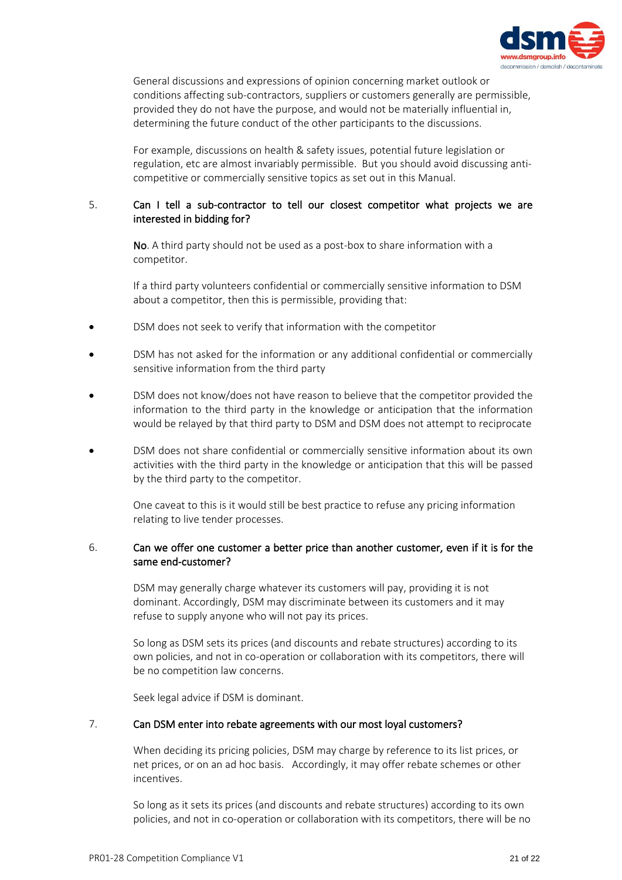

General discussions and expressions of opinion concerning market outlook or conditions affecting sub-contractors, suppliers or customers generally are permissible, provided they do not have the purpose, and would not be materially influential in, determining the future conduct of the other participants to the discussions.

For example, discussions on health & safety issues, potential future legislation or regulation, etc are almost invariably permissible. But you should avoid discussing anticompetitive or commercially sensitive topics as set out in this Manual.

# 5. Can I tell a sub-contractor to tell our closest competitor what projects we are interested in bidding for?

No. A third party should not be used as a post-box to share information with a competitor.

If a third party volunteers confidential or commercially sensitive information to DSM about a competitor, then this is permissible, providing that:

- DSM does not seek to verify that information with the competitor
- DSM has not asked for the information or any additional confidential or commercially sensitive information from the third party
- DSM does not know/does not have reason to believe that the competitor provided the information to the third party in the knowledge or anticipation that the information would be relayed by that third party to DSM and DSM does not attempt to reciprocate
- DSM does not share confidential or commercially sensitive information about its own activities with the third party in the knowledge or anticipation that this will be passed by the third party to the competitor.

One caveat to this is it would still be best practice to refuse any pricing information relating to live tender processes.

# 6. Can we offer one customer a better price than another customer, even if it is for the same end-customer?

DSM may generally charge whatever its customers will pay, providing it is not dominant. Accordingly, DSM may discriminate between its customers and it may refuse to supply anyone who will not pay its prices.

So long as DSM sets its prices (and discounts and rebate structures) according to its own policies, and not in co-operation or collaboration with its competitors, there will be no competition law concerns.

Seek legal advice if DSM is dominant.

#### 7. Can DSM enter into rebate agreements with our most loyal customers?

When deciding its pricing policies, DSM may charge by reference to its list prices, or net prices, or on an ad hoc basis. Accordingly, it may offer rebate schemes or other incentives.

So long as it sets its prices (and discounts and rebate structures) according to its own policies, and not in co-operation or collaboration with its competitors, there will be no